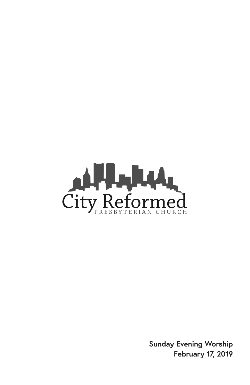

**Sunday Evening Worship February 17, 2019**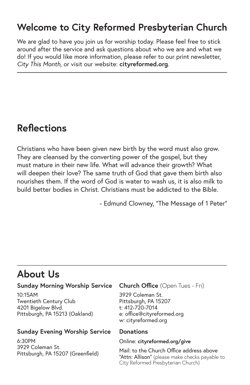## **Welcome to City Reformed Presbyterian Church**

We are glad to have you join us for worship today. Please feel free to stick around after the service and ask questions about who we are and what we do! If you would like more information, please refer to our print newsletter, *City This Month,* or visit our website: **cityreformed.org**.

# **Reflections**

Christians who have been given new birth by the word must also grow. They are cleansed by the converting power of the gospel, but they must mature in their new life. What will advance their growth? What will deepen their love? The same truth of God that gave them birth also nourishes them. If the word of God is water to wash us, it is also milk to build better bodies in Christ. Christians must be addicted to the Bible.

- Edmund Clowney, "The Message of 1 Peter"

## **About Us**

#### **Sunday Morning Worship Service**

10:15AM Twentieth Century Club 4201 Bigelow Blvd. Pittsburgh, PA 15213 (Oakland)

#### **Sunday Evening Worship Service**

6:30PM 3929 Coleman St. Pittsburgh, PA 15207 (Greenfield)

#### **Church Office** (Open Tues - Fri)

3929 Coleman St. Pittsburgh, PA 15207 t: 412-720-7014 e: office@cityreformed.org w: cityreformed.org

#### **Donations**

#### Online: **cityreformed.org/give**

Mail: to the Church Office address above "Attn: Allison" (please make checks payable to City Reformed Presbyterian Church)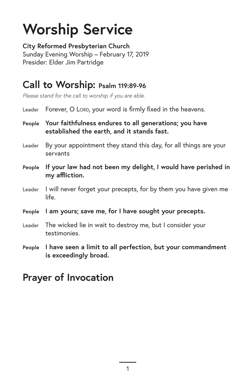# **Worship Service**

**City Reformed Presbyterian Church** Sunday Evening Worship – February 17, 2019 Presider: Elder Jim Partridge

#### **Call to Worship: Psalm 119:89-96**

*Please stand for the call to worship if you are able.*

| Leader Forever, O LORD, your word is firmly fixed in the heavens. |  |  |  |  |
|-------------------------------------------------------------------|--|--|--|--|
|-------------------------------------------------------------------|--|--|--|--|

- **People Your faithfulness endures to all generations; you have established the earth, and it stands fast.**
- Leader By your appointment they stand this day, for all things are your servants
- **People If your law had not been my delight, I would have perished in my affliction.**
- Leader I will never forget your precepts, for by them you have given me life.
- **People I am yours; save me, for I have sought your precepts.**
- Leader The wicked lie in wait to destroy me, but I consider your testimonies.
- **People I have seen a limit to all perfection, but your commandment is exceedingly broad.**

#### **Prayer of Invocation**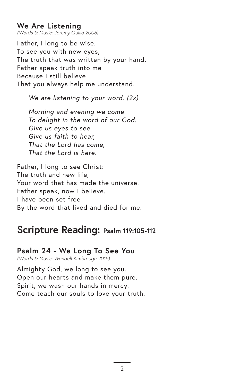#### **We Are Listening**

*(Words & Music: Jeremy Quillo 2006)*

Father, I long to be wise. To see you with new eyes, The truth that was written by your hand. Father speak truth into me Because I still believe That you always help me understand.

*We are listening to your word. (2x)*

*Morning and evening we come To delight in the word of our God. Give us eyes to see. Give us faith to hear, That the Lord has come, That the Lord is here.*

Father, I long to see Christ: The truth and new life, Your word that has made the universe. Father speak, now I believe. I have been set free By the word that lived and died for me.

#### **Scripture Reading: Psalm 119:105-112**

#### **Psalm 24 - We Long To See You**

*(Words & Music: Wendell Kimbrough 2015)*

Almighty God, we long to see you. Open our hearts and make them pure. Spirit, we wash our hands in mercy. Come teach our souls to love your truth.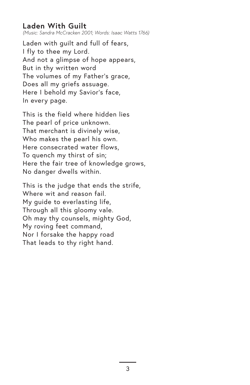#### **Laden With Guilt**

*(Music: Sandra McCracken 2001; Words: Isaac Watts 1766)*

Laden with guilt and full of fears, I fly to thee my Lord. And not a glimpse of hope appears, But in thy written word The volumes of my Father's grace, Does all my griefs assuage. Here I behold my Savior's face, In every page.

This is the field where hidden lies The pearl of price unknown. That merchant is divinely wise, Who makes the pearl his own. Here consecrated water flows, To quench my thirst of sin; Here the fair tree of knowledge grows, No danger dwells within.

This is the judge that ends the strife, Where wit and reason fail My guide to everlasting life, Through all this gloomy vale. Oh may thy counsels, mighty God, My roving feet command, Nor I forsake the happy road That leads to thy right hand.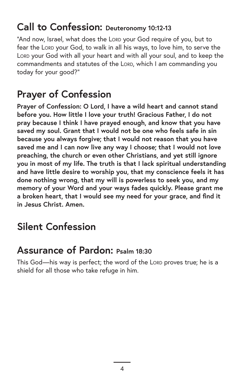# **Call to Confession: Deuteronomy 10:12-13**

"And now, Israel, what does the Lorp your God require of you, but to fear the Lorp your God, to walk in all his ways, to love him, to serve the LORD your God with all your heart and with all your soul, and to keep the commandments and statutes of the LORD, which I am commanding you today for your good?"

# **Prayer of Confession**

**Prayer of Confession: O Lord, I have a wild heart and cannot stand before you. How little I love your truth! Gracious Father, I do not pray because I think I have prayed enough, and know that you have saved my soul. Grant that I would not be one who feels safe in sin because you always forgive; that I would not reason that you have saved me and I can now live any way I choose; that I would not love preaching, the church or even other Christians, and yet still ignore you in most of my life. The truth is that I lack spiritual understanding and have little desire to worship you, that my conscience feels it has done nothing wrong, that my will is powerless to seek you, and my memory of your Word and your ways fades quickly. Please grant me a broken heart, that I would see my need for your grace, and find it in Jesus Christ. Amen.**

# **Silent Confession**

## **Assurance of Pardon: Psalm 18:30**

This God-his way is perfect; the word of the LORD proves true; he is a shield for all those who take refuge in him.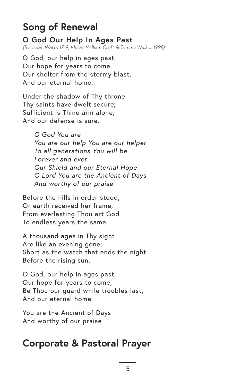## **Song of Renewal**

**O God Our Help In Ages Past** *(By: Isaac Watts 1719; Music: William Croft & Tommy Walker 1998)*

O God, our help in ages past, Our hope for years to come, Our shelter from the stormy blast, And our eternal home.

Under the shadow of Thy throne Thy saints have dwelt secure; Sufficient is Thine arm alone, And our defense is sure.

> *O God You are You are our help You are our helper To all generations You will be Forever and ever Our Shield and our Eternal Hope O Lord You are the Ancient of Days And worthy of our praise*

Before the hills in order stood, Or earth received her frame, From everlasting Thou art God, To endless years the same.

A thousand ages in Thy sight Are like an evening gone; Short as the watch that ends the night Before the rising sun.

O God, our help in ages past, Our hope for years to come, Be Thou our guard while troubles last, And our eternal home.

You are the Ancient of Days And worthy of our praise

## **Corporate & Pastoral Prayer**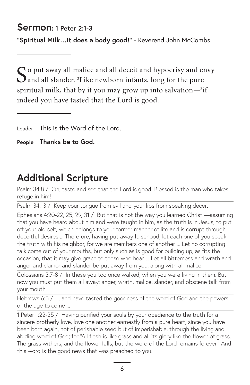#### **Sermon: 1 Peter 2:1-3**

**"Spiritual Milk…It does a body good!"** - Reverend John McCombs

 $\bigcap$  o put away all malice and all deceit and hypocrisy and envy and all slander. 2 Like newborn infants, long for the pure spiritual milk, that by it you may grow up into salvation— ${}^{3}$ if indeed you have tasted that the Lord is good.

Leader This is the Word of the Lord.

**People Thanks be to God.**

# **Additional Scripture**

Psalm 34:8 / Oh, taste and see that the Lord is good! Blessed is the man who takes refuge in him!

Psalm 34:13 / Keep your tongue from evil and your lips from speaking deceit.

Ephesians 4:20-22, 25, 29, 31 / But that is not the way you learned Christ!—assuming that you have heard about him and were taught in him, as the truth is in Jesus, to put off your old self, which belongs to your former manner of life and is corrupt through deceitful desires ... Therefore, having put away falsehood, let each one of you speak the truth with his neighbor, for we are members one of another ... Let no corrupting talk come out of your mouths, but only such as is good for building up, as fits the occasion, that it may give grace to those who hear ... Let all bitterness and wrath and anger and clamor and slander be put away from you, along with all malice.

Colossians 3:7-8 / In these you too once walked, when you were living in them. But now you must put them all away: anger, wrath, malice, slander, and obscene talk from your mouth.

Hebrews 6:5 / ... and have tasted the goodness of the word of God and the powers of the age to come ...

1 Peter 1:22-25 / Having purified your souls by your obedience to the truth for a sincere brotherly love, love one another earnestly from a pure heart, since you have been born again, not of perishable seed but of imperishable, through the living and abiding word of God; for "All flesh is like grass and all its glory like the flower of grass. The grass withers, and the flower falls, but the word of the Lord remains forever." And this word is the good news that was preached to you.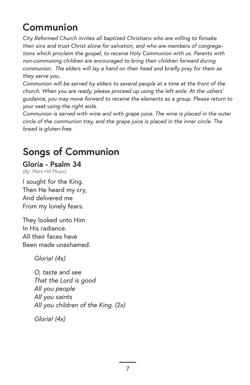# **Communion**

*City Reformed Church invites all baptized Christians who are willing to forsake their sins and trust Christ alone for salvation, and who are members of congregations which proclaim the gospel, to receive Holy Communion with us. Parents with non-communing children are encouraged to bring their children forward during communion. The elders will lay a hand on their head and briefly pray for them as they serve you.*

*Communion will be served by elders to several people at a time at the front of the church. When you are ready, please proceed up using the left aisle. At the ushers' guidance, you may move forward to receive the elements as a group. Please return to your seat using the right aisle.* 

*Communion is served with wine and with grape juice. The wine is placed in the outer circle of the communion tray, and the grape juice is placed in the inner circle. The bread is gluten-free.*

# **Songs of Communion**

#### **Gloria - Psalm 34**

*(By: Mars Hill Music)*

I sought for the King. Then He heard my cry, And delivered me From my lonely fears.

They looked unto Him In His radiance. All their faces have Been made unashamed.

*Gloria! (4x)*

*O, taste and see That the Lord is good All you people All you saints All you children of the King. (2x)*

*Gloria! (4x)*